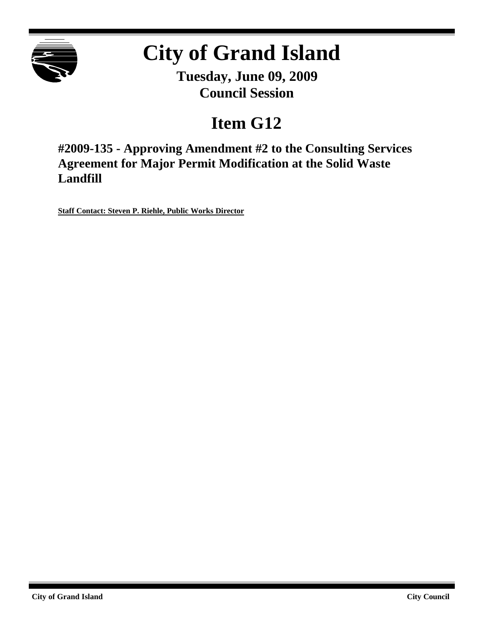

# **City of Grand Island**

**Tuesday, June 09, 2009 Council Session**

## **Item G12**

**#2009-135 - Approving Amendment #2 to the Consulting Services Agreement for Major Permit Modification at the Solid Waste Landfill**

**Staff Contact: Steven P. Riehle, Public Works Director**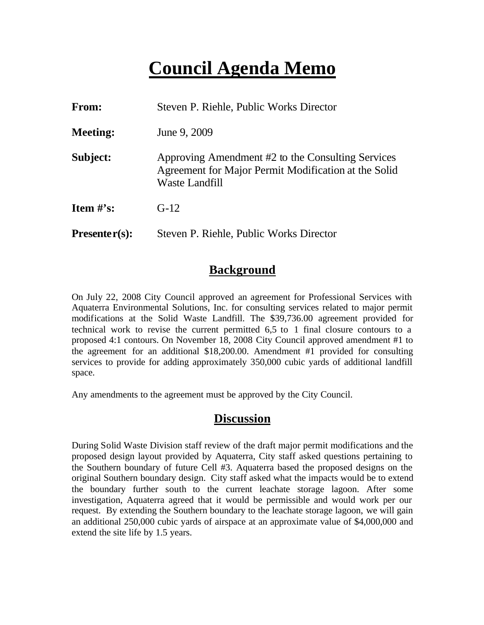### **Council Agenda Memo**

| From:           | Steven P. Riehle, Public Works Director                                                                                     |  |  |
|-----------------|-----------------------------------------------------------------------------------------------------------------------------|--|--|
| <b>Meeting:</b> | June 9, 2009                                                                                                                |  |  |
| Subject:        | Approving Amendment #2 to the Consulting Services<br>Agreement for Major Permit Modification at the Solid<br>Waste Landfill |  |  |
| Item $\#$ 's:   | $G-12$                                                                                                                      |  |  |
| $Presenter(s):$ | Steven P. Riehle, Public Works Director                                                                                     |  |  |

#### **Background**

On July 22, 2008 City Council approved an agreement for Professional Services with Aquaterra Environmental Solutions, Inc. for consulting services related to major permit modifications at the Solid Waste Landfill. The \$39,736.00 agreement provided for technical work to revise the current permitted 6,5 to 1 final closure contours to a proposed 4:1 contours. On November 18, 2008 City Council approved amendment #1 to the agreement for an additional \$18,200.00. Amendment #1 provided for consulting services to provide for adding approximately 350,000 cubic yards of additional landfill space.

Any amendments to the agreement must be approved by the City Council.

#### **Discussion**

During Solid Waste Division staff review of the draft major permit modifications and the proposed design layout provided by Aquaterra, City staff asked questions pertaining to the Southern boundary of future Cell #3. Aquaterra based the proposed designs on the original Southern boundary design. City staff asked what the impacts would be to extend the boundary further south to the current leachate storage lagoon. After some investigation, Aquaterra agreed that it would be permissible and would work per our request. By extending the Southern boundary to the leachate storage lagoon, we will gain an additional 250,000 cubic yards of airspace at an approximate value of \$4,000,000 and extend the site life by 1.5 years.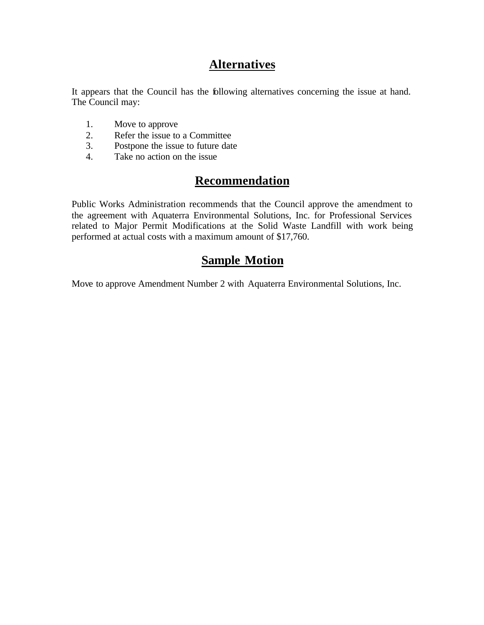#### **Alternatives**

It appears that the Council has the following alternatives concerning the issue at hand. The Council may:

- 1. Move to approve
- 2. Refer the issue to a Committee
- 3. Postpone the issue to future date
- 4. Take no action on the issue

### **Recommendation**

Public Works Administration recommends that the Council approve the amendment to the agreement with Aquaterra Environmental Solutions, Inc. for Professional Services related to Major Permit Modifications at the Solid Waste Landfill with work being performed at actual costs with a maximum amount of \$17,760.

#### **Sample Motion**

Move to approve Amendment Number 2 with Aquaterra Environmental Solutions, Inc.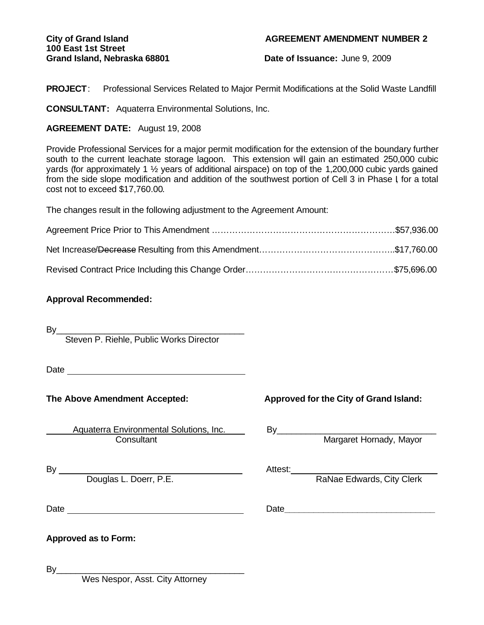# **100 East 1st Street**

#### **City of Grand Island AGREEMENT AMENDMENT NUMBER 2**

Grand Island, Nebraska 68801 **Date of Issuance:** June 9, 2009

**PROJECT**: Professional Services Related to Major Permit Modifications at the Solid Waste Landfill

**CONSULTANT:** Aquaterra Environmental Solutions, Inc.

#### **AGREEMENT DATE:** August 19, 2008

Provide Professional Services for a major permit modification for the extension of the boundary further south to the current leachate storage lagoon. This extension will gain an estimated 250,000 cubic yards (for approximately 1 ½ years of additional airspace) on top of the 1,200,000 cubic yards gained from the side slope modification and addition of the southwest portion of Cell 3 in Phase I for a total cost not to exceed \$17,760.00.

The changes result in the following adjustment to the Agreement Amount:

#### **Approval Recommended:**

By\_\_\_\_\_\_\_\_\_\_\_\_\_\_\_\_\_\_\_\_\_\_\_\_\_\_\_\_\_\_\_\_\_\_\_\_\_\_\_

Steven P. Riehle, Public Works Director

Date and the contract of the contract of the contract of the contract of the contract of the contract of the contract of the contract of the contract of the contract of the contract of the contract of the contract of the c

Aquaterra Environmental Solutions, Inc.<br>Consultant

The Above Amendment Accepted: Approved for the City of Grand Island:

By Margaret Hornady, Mayor

By Attest: \_\_\_\_

Douglas L. Doerr, P.E. The Contract of the RaNae Edwards, City Clerk

Date **Date Date Date Date Date Date Date Date Date Date Date Date Date Date Date Date Date Date Date Date Date Date Date Date Date Date Date Date Date Date Date**

**Approved as to Form:**

By\_\_\_\_\_\_\_\_\_\_\_\_\_\_\_\_\_\_\_\_\_\_\_\_\_\_\_\_\_\_\_\_\_\_\_\_\_\_\_

Wes Nespor, Asst. City Attorney